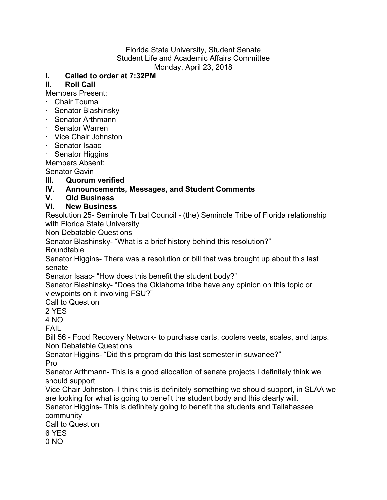#### Florida State University, Student Senate Student Life and Academic Affairs Committee Monday, April 23, 2018

### **I. Called to order at 7:32PM**

## **II. Roll Call**

Members Present:

- · Chair Touma
- · Senator Blashinsky
- · Senator Arthmann
- · Senator Warren
- · Vice Chair Johnston
- · Senator Isaac
- · Senator Higgins

Members Absent:

Senator Gavin

### **III. Quorum verified**

# **IV. Announcements, Messages, and Student Comments**

## **V. Old Business**

### **VI. New Business**

Resolution 25- Seminole Tribal Council - (the) Seminole Tribe of Florida relationship with Florida State University

Non Debatable Questions

Senator Blashinsky- "What is a brief history behind this resolution?"

**Roundtable** 

Senator Higgins- There was a resolution or bill that was brought up about this last senate

Senator Isaac- "How does this benefit the student body?"

Senator Blashinsky- "Does the Oklahoma tribe have any opinion on this topic or viewpoints on it involving FSU?"

Call to Question

2 YES

4 NO

FAIL

Bill 56 - Food Recovery Network- to purchase carts, coolers vests, scales, and tarps. Non Debatable Questions

Senator Higgins- "Did this program do this last semester in suwanee?" Pro

Senator Arthmann- This is a good allocation of senate projects I definitely think we should support

Vice Chair Johnston- I think this is definitely something we should support, in SLAA we are looking for what is going to benefit the student body and this clearly will.

Senator Higgins- This is definitely going to benefit the students and Tallahassee community

Call to Question

6 YES

0 NO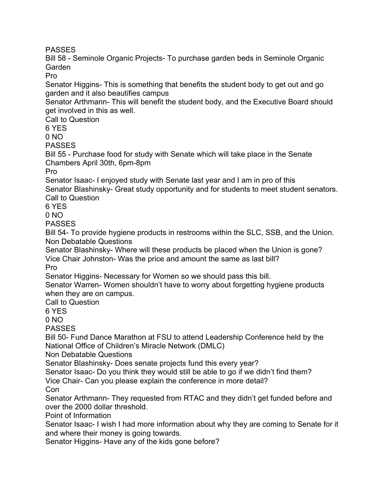**PASSES** 

Bill 58 - Seminole Organic Projects- To purchase garden beds in Seminole Organic Garden

Pro

Senator Higgins- This is something that benefits the student body to get out and go garden and it also beautifies campus

Senator Arthmann- This will benefit the student body, and the Executive Board should get involved in this as well.

Call to Question

6 YES

 $0 N<sub>O</sub>$ 

PASSES

Bill 55 - Purchase food for study with Senate which will take place in the Senate Chambers April 30th, 6pm-8pm

Pro

Senator Isaac- I enjoyed study with Senate last year and I am in pro of this Senator Blashinsky- Great study opportunity and for students to meet student senators. Call to Question

6 YES

0 NO

PASSES

Bill 54- To provide hygiene products in restrooms within the SLC, SSB, and the Union. Non Debatable Questions

Senator Blashinsky- Where will these products be placed when the Union is gone? Vice Chair Johnston- Was the price and amount the same as last bill?

Pro

Senator Higgins- Necessary for Women so we should pass this bill.

Senator Warren- Women shouldn't have to worry about forgetting hygiene products when they are on campus.

Call to Question

6 YES

0 NO

PASSES

Bill 50- Fund Dance Marathon at FSU to attend Leadership Conference held by the National Office of Children's Miracle Network (DMLC)

Non Debatable Questions

Senator Blashinsky- Does senate projects fund this every year?

Senator Isaac- Do you think they would still be able to go if we didn't find them?

Vice Chair- Can you please explain the conference in more detail?

**Con** 

Senator Arthmann- They requested from RTAC and they didn't get funded before and over the 2000 dollar threshold.

Point of Information

Senator Isaac- I wish I had more information about why they are coming to Senate for it and where their money is going towards.

Senator Higgins- Have any of the kids gone before?